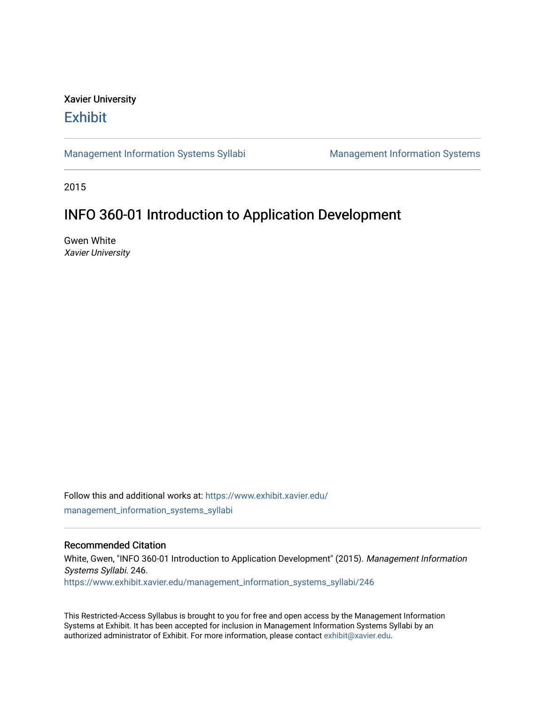# Xavier University **Exhibit**

[Management Information Systems Syllabi](https://www.exhibit.xavier.edu/management_information_systems_syllabi) Management Information Systems

2015

# INFO 360-01 Introduction to Application Development

Gwen White Xavier University

Follow this and additional works at: [https://www.exhibit.xavier.edu/](https://www.exhibit.xavier.edu/management_information_systems_syllabi?utm_source=www.exhibit.xavier.edu%2Fmanagement_information_systems_syllabi%2F246&utm_medium=PDF&utm_campaign=PDFCoverPages) [management\\_information\\_systems\\_syllabi](https://www.exhibit.xavier.edu/management_information_systems_syllabi?utm_source=www.exhibit.xavier.edu%2Fmanagement_information_systems_syllabi%2F246&utm_medium=PDF&utm_campaign=PDFCoverPages) 

#### Recommended Citation

White, Gwen, "INFO 360-01 Introduction to Application Development" (2015). Management Information Systems Syllabi. 246. [https://www.exhibit.xavier.edu/management\\_information\\_systems\\_syllabi/246](https://www.exhibit.xavier.edu/management_information_systems_syllabi/246?utm_source=www.exhibit.xavier.edu%2Fmanagement_information_systems_syllabi%2F246&utm_medium=PDF&utm_campaign=PDFCoverPages) 

This Restricted-Access Syllabus is brought to you for free and open access by the Management Information Systems at Exhibit. It has been accepted for inclusion in Management Information Systems Syllabi by an authorized administrator of Exhibit. For more information, please contact [exhibit@xavier.edu](mailto:exhibit@xavier.edu).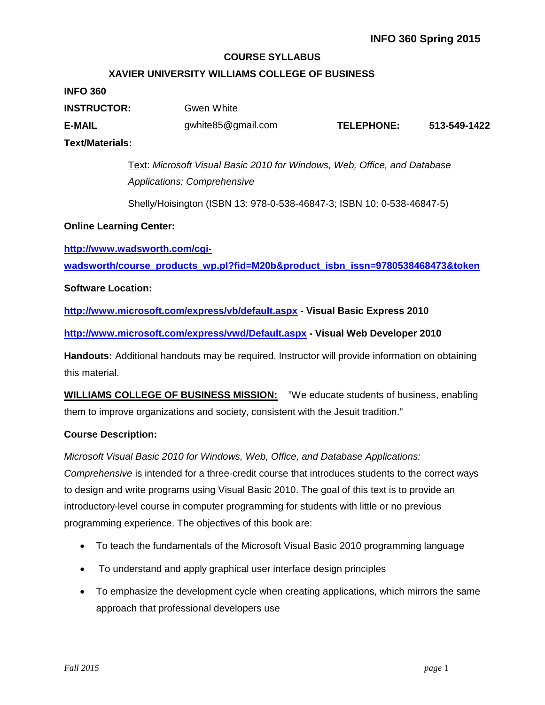### **COURSE SYLLABUS**

### **XAVIER UNIVERSITY WILLIAMS COLLEGE OF BUSINESS**

#### **INFO 360**

| <b>INSTRUCTOR:</b> | Gwen White         |            |              |
|--------------------|--------------------|------------|--------------|
| <b>E-MAIL</b>      | gwhite85@gmail.com | TELEPHONE: | 513-549-1422 |
| Text/Materials:    |                    |            |              |

Text: *Microsoft Visual Basic 2010 for Windows, Web, Office, and Database Applications: Comprehensive*

Shelly/Hoisington (ISBN 13: 978-0-538-46847-3; ISBN 10: 0-538-46847-5)

#### **Online Learning Center:**

**[http://www.wadsworth.com/cgi-](http://www.wadsworth.com/cgi-wadsworth/course_products_wp.pl?fid=M20b&product_isbn_issn=9780538468473&token)**

**[wadsworth/course\\_products\\_wp.pl?fid=M20b&product\\_isbn\\_issn=9780538468473&token](http://www.wadsworth.com/cgi-wadsworth/course_products_wp.pl?fid=M20b&product_isbn_issn=9780538468473&token)**

#### **Software Location:**

**<http://www.microsoft.com/express/vb/default.aspx> - Visual Basic Express 2010**

**<http://www.microsoft.com/express/vwd/Default.aspx> - Visual Web Developer 2010**

**Handouts:** Additional handouts may be required. Instructor will provide information on obtaining this material.

**WILLIAMS COLLEGE OF BUSINESS MISSION:** "We educate students of business, enabling them to improve organizations and society, consistent with the Jesuit tradition."

#### **Course Description:**

*Microsoft Visual Basic 2010 for Windows, Web, Office, and Database Applications: Comprehensive* is intended for a three-credit course that introduces students to the correct ways to design and write programs using Visual Basic 2010. The goal of this text is to provide an introductory-level course in computer programming for students with little or no previous programming experience. The objectives of this book are:

- To teach the fundamentals of the Microsoft Visual Basic 2010 programming language
- To understand and apply graphical user interface design principles
- To emphasize the development cycle when creating applications, which mirrors the same approach that professional developers use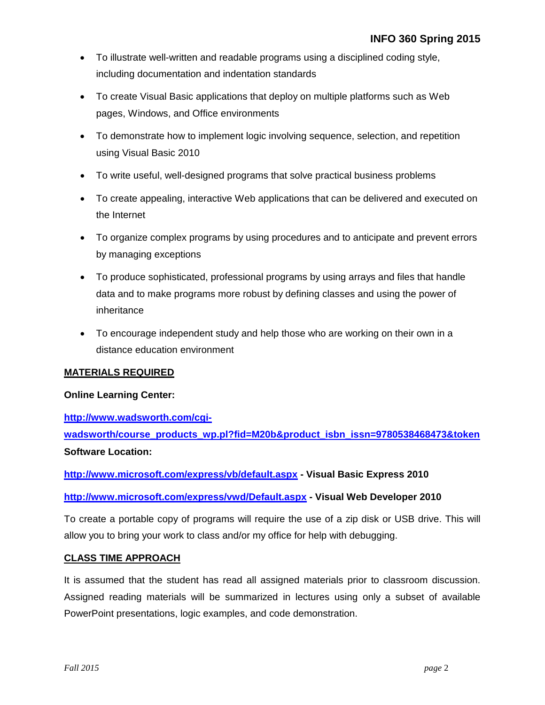- To illustrate well-written and readable programs using a disciplined coding style, including documentation and indentation standards
- To create Visual Basic applications that deploy on multiple platforms such as Web pages, Windows, and Office environments
- To demonstrate how to implement logic involving sequence, selection, and repetition using Visual Basic 2010
- To write useful, well-designed programs that solve practical business problems
- To create appealing, interactive Web applications that can be delivered and executed on the Internet
- To organize complex programs by using procedures and to anticipate and prevent errors by managing exceptions
- To produce sophisticated, professional programs by using arrays and files that handle data and to make programs more robust by defining classes and using the power of inheritance
- To encourage independent study and help those who are working on their own in a distance education environment

### **MATERIALS REQUIRED**

### **Online Learning Center:**

**[http://www.wadsworth.com/cgi-](http://www.wadsworth.com/cgi-wadsworth/course_products_wp.pl?fid=M20b&product_isbn_issn=9780538468473&token)**

**[wadsworth/course\\_products\\_wp.pl?fid=M20b&product\\_isbn\\_issn=9780538468473&token](http://www.wadsworth.com/cgi-wadsworth/course_products_wp.pl?fid=M20b&product_isbn_issn=9780538468473&token) Software Location:**

**<http://www.microsoft.com/express/vb/default.aspx> - Visual Basic Express 2010**

**<http://www.microsoft.com/express/vwd/Default.aspx> - Visual Web Developer 2010**

To create a portable copy of programs will require the use of a zip disk or USB drive. This will allow you to bring your work to class and/or my office for help with debugging.

### **CLASS TIME APPROACH**

It is assumed that the student has read all assigned materials prior to classroom discussion. Assigned reading materials will be summarized in lectures using only a subset of available PowerPoint presentations, logic examples, and code demonstration.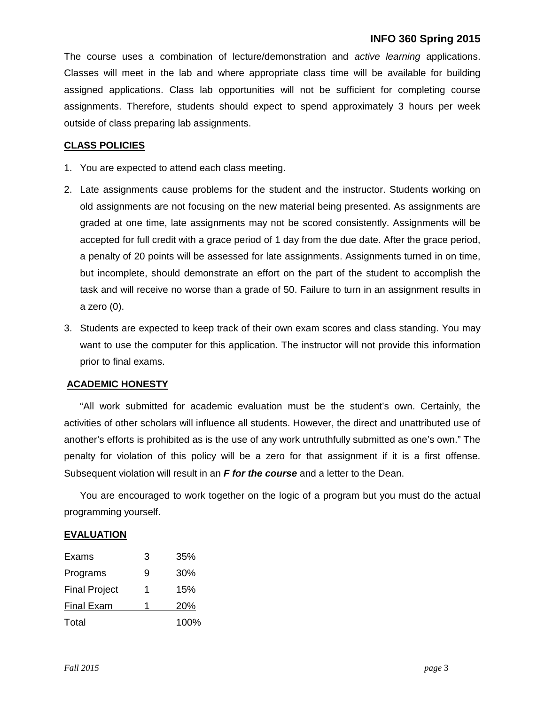The course uses a combination of lecture/demonstration and *active learning* applications. Classes will meet in the lab and where appropriate class time will be available for building assigned applications. Class lab opportunities will not be sufficient for completing course assignments. Therefore, students should expect to spend approximately 3 hours per week outside of class preparing lab assignments.

### **CLASS POLICIES**

- 1. You are expected to attend each class meeting.
- 2. Late assignments cause problems for the student and the instructor. Students working on old assignments are not focusing on the new material being presented. As assignments are graded at one time, late assignments may not be scored consistently. Assignments will be accepted for full credit with a grace period of 1 day from the due date. After the grace period, a penalty of 20 points will be assessed for late assignments. Assignments turned in on time, but incomplete, should demonstrate an effort on the part of the student to accomplish the task and will receive no worse than a grade of 50. Failure to turn in an assignment results in a zero (0).
- 3. Students are expected to keep track of their own exam scores and class standing. You may want to use the computer for this application. The instructor will not provide this information prior to final exams.

#### **ACADEMIC HONESTY**

"All work submitted for academic evaluation must be the student's own. Certainly, the activities of other scholars will influence all students. However, the direct and unattributed use of another's efforts is prohibited as is the use of any work untruthfully submitted as one's own." The penalty for violation of this policy will be a zero for that assignment if it is a first offense. Subsequent violation will result in an *F for the course* and a letter to the Dean.

You are encouraged to work together on the logic of a program but you must do the actual programming yourself.

#### **EVALUATION**

| Exams                | 3 | 35%  |
|----------------------|---|------|
| Programs             | 9 | 30%  |
| <b>Final Project</b> | 1 | 15%  |
| <b>Final Exam</b>    | 1 | 20%  |
| Total                |   | 100% |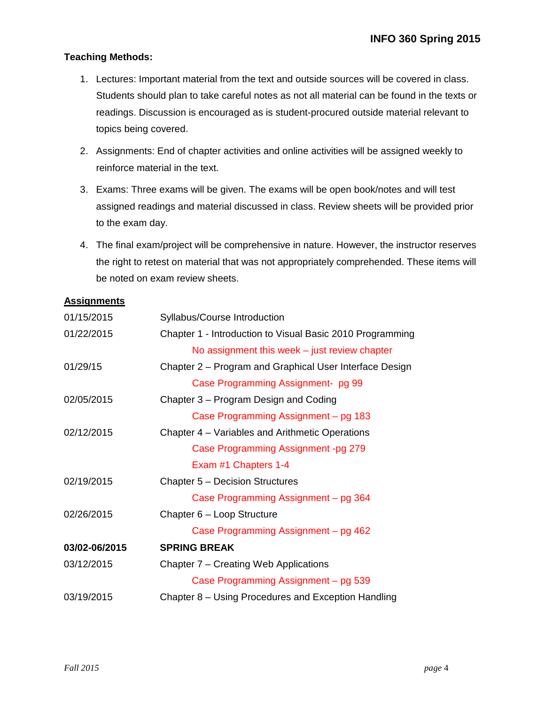### **Teaching Methods:**

- 1. Lectures: Important material from the text and outside sources will be covered in class. Students should plan to take careful notes as not all material can be found in the texts or readings. Discussion is encouraged as is student-procured outside material relevant to topics being covered.
- 2. Assignments: End of chapter activities and online activities will be assigned weekly to reinforce material in the text.
- 3. Exams: Three exams will be given. The exams will be open book/notes and will test assigned readings and material discussed in class. Review sheets will be provided prior to the exam day.
- 4. The final exam/project will be comprehensive in nature. However, the instructor reserves the right to retest on material that was not appropriately comprehended. These items will be noted on exam review sheets.

### **Assignments**

| 01/15/2015    | Syllabus/Course Introduction                              |
|---------------|-----------------------------------------------------------|
| 01/22/2015    | Chapter 1 - Introduction to Visual Basic 2010 Programming |
|               | No assignment this week $-$ just review chapter           |
| 01/29/15      | Chapter 2 - Program and Graphical User Interface Design   |
|               | Case Programming Assignment- pg 99                        |
| 02/05/2015    | Chapter 3 – Program Design and Coding                     |
|               | Case Programming Assignment – pg 183                      |
| 02/12/2015    | Chapter 4 – Variables and Arithmetic Operations           |
|               | Case Programming Assignment -pg 279                       |
|               | Exam #1 Chapters 1-4                                      |
| 02/19/2015    | Chapter 5 - Decision Structures                           |
|               | Case Programming Assignment – pg 364                      |
| 02/26/2015    | Chapter 6 - Loop Structure                                |
|               | Case Programming Assignment – pg 462                      |
| 03/02-06/2015 | <b>SPRING BREAK</b>                                       |
| 03/12/2015    | Chapter 7 – Creating Web Applications                     |
|               | Case Programming Assignment – pg 539                      |
| 03/19/2015    | Chapter 8 – Using Procedures and Exception Handling       |